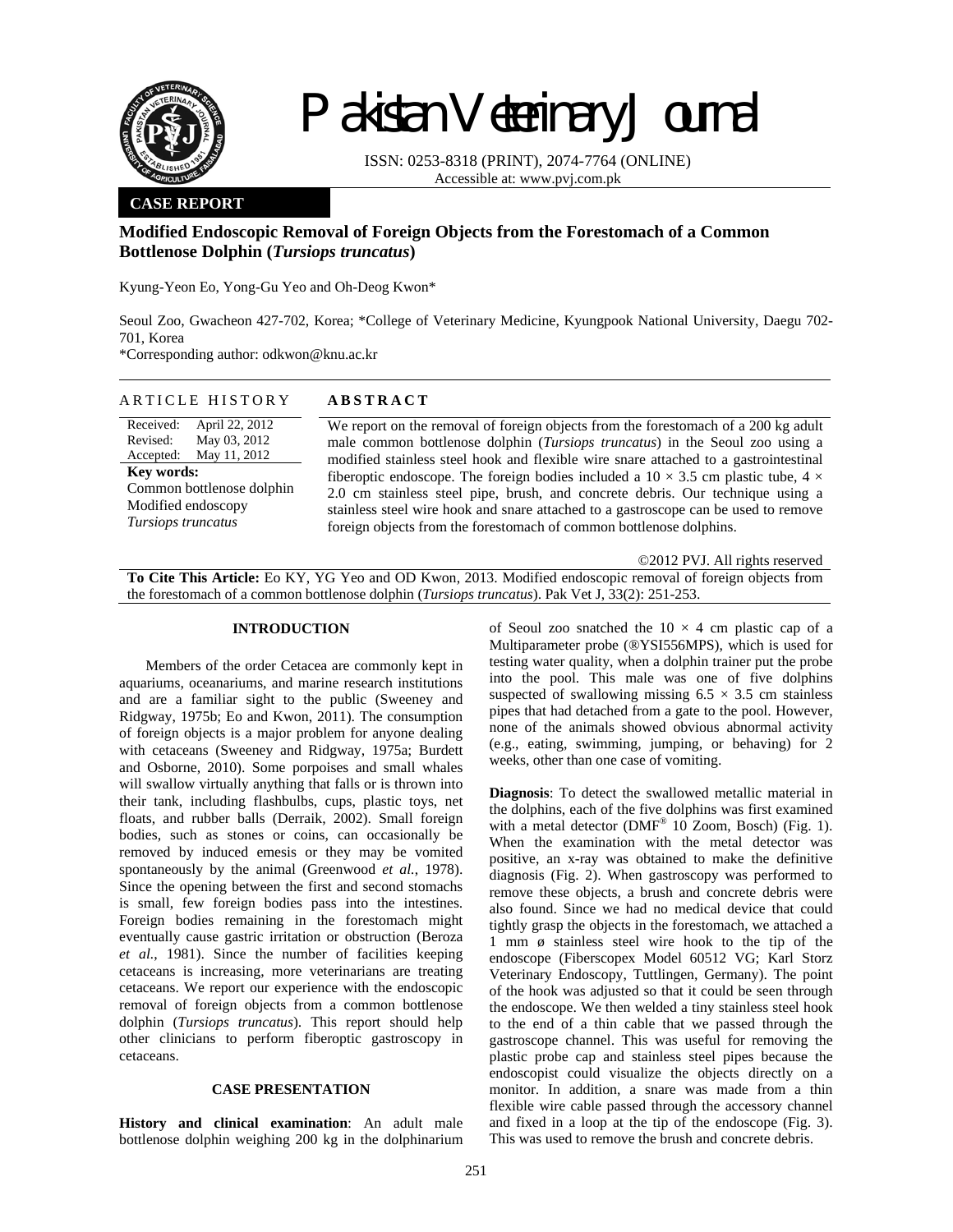

# Pakistan Veterinary Journal

ISSN: 0253-8318 (PRINT), 2074-7764 (ONLINE) Accessible at: www.pvj.com.pk

# **CASE REPORT**

# **Modified Endoscopic Removal of Foreign Objects from the Forestomach of a Common Bottlenose Dolphin (***Tursiops truncatus***)**

Kyung-Yeon Eo, Yong-Gu Yeo and Oh-Deog Kwon\*

Seoul Zoo, Gwacheon 427-702, Korea; \*College of Veterinary Medicine, Kyungpook National University, Daegu 702- 701, Korea

\*Corresponding author: odkwon@knu.ac.kr

### ARTICLE HISTORY **ABSTRACT**

Received: Revised: Accepted: April 22, 2012 May 03, 2012 May 11, 2012 **Key words:**  Common bottlenose dolphin Modified endoscopy *Tursiops truncatus*

We report on the removal of foreign objects from the forestomach of a 200 kg adult male common bottlenose dolphin (*Tursiops truncatus*) in the Seoul zoo using a modified stainless steel hook and flexible wire snare attached to a gastrointestinal fiberoptic endoscope. The foreign bodies included a  $10 \times 3.5$  cm plastic tube,  $4 \times$ 2.0 cm stainless steel pipe, brush, and concrete debris. Our technique using a stainless steel wire hook and snare attached to a gastroscope can be used to remove foreign objects from the forestomach of common bottlenose dolphins.

©2012 PVJ. All rights reserved

**To Cite This Article:** Eo KY, YG Yeo and OD Kwon, 2013. Modified endoscopic removal of foreign objects from the forestomach of a common bottlenose dolphin (*Tursiops truncatus*). Pak Vet J, 33(2): 251-253.

#### **INTRODUCTION**

Members of the order Cetacea are commonly kept in aquariums, oceanariums, and marine research institutions and are a familiar sight to the public (Sweeney and Ridgway, 1975b; Eo and Kwon, 2011). The consumption of foreign objects is a major problem for anyone dealing with cetaceans (Sweeney and Ridgway, 1975a; Burdett and Osborne, 2010). Some porpoises and small whales will swallow virtually anything that falls or is thrown into their tank, including flashbulbs, cups, plastic toys, net floats, and rubber balls (Derraik, 2002). Small foreign bodies, such as stones or coins, can occasionally be removed by induced emesis or they may be vomited spontaneously by the animal (Greenwood *et al.*, 1978). Since the opening between the first and second stomachs is small, few foreign bodies pass into the intestines. Foreign bodies remaining in the forestomach might eventually cause gastric irritation or obstruction (Beroza *et al.*, 1981). Since the number of facilities keeping cetaceans is increasing, more veterinarians are treating cetaceans. We report our experience with the endoscopic removal of foreign objects from a common bottlenose dolphin (*Tursiops truncatus*). This report should help other clinicians to perform fiberoptic gastroscopy in cetaceans.

## **CASE PRESENTATION**

**History and clinical examination**: An adult male bottlenose dolphin weighing 200 kg in the dolphinarium of Seoul zoo snatched the  $10 \times 4$  cm plastic cap of a Multiparameter probe (®YSI556MPS), which is used for testing water quality, when a dolphin trainer put the probe into the pool. This male was one of five dolphins suspected of swallowing missing  $6.5 \times 3.5$  cm stainless pipes that had detached from a gate to the pool. However, none of the animals showed obvious abnormal activity (e.g., eating, swimming, jumping, or behaving) for 2 weeks, other than one case of vomiting.

**Diagnosis**: To detect the swallowed metallic material in the dolphins, each of the five dolphins was first examined with a metal detector ( $DMF^{\otimes}$  10 Zoom, Bosch) (Fig. 1). When the examination with the metal detector was positive, an x-ray was obtained to make the definitive diagnosis (Fig. 2). When gastroscopy was performed to remove these objects, a brush and concrete debris were also found. Since we had no medical device that could tightly grasp the objects in the forestomach, we attached a 1 mm ø stainless steel wire hook to the tip of the endoscope (Fiberscopex Model 60512 VG; Karl Storz Veterinary Endoscopy, Tuttlingen, Germany). The point of the hook was adjusted so that it could be seen through the endoscope. We then welded a tiny stainless steel hook to the end of a thin cable that we passed through the gastroscope channel. This was useful for removing the plastic probe cap and stainless steel pipes because the endoscopist could visualize the objects directly on a monitor. In addition, a snare was made from a thin flexible wire cable passed through the accessory channel and fixed in a loop at the tip of the endoscope (Fig. 3). This was used to remove the brush and concrete debris.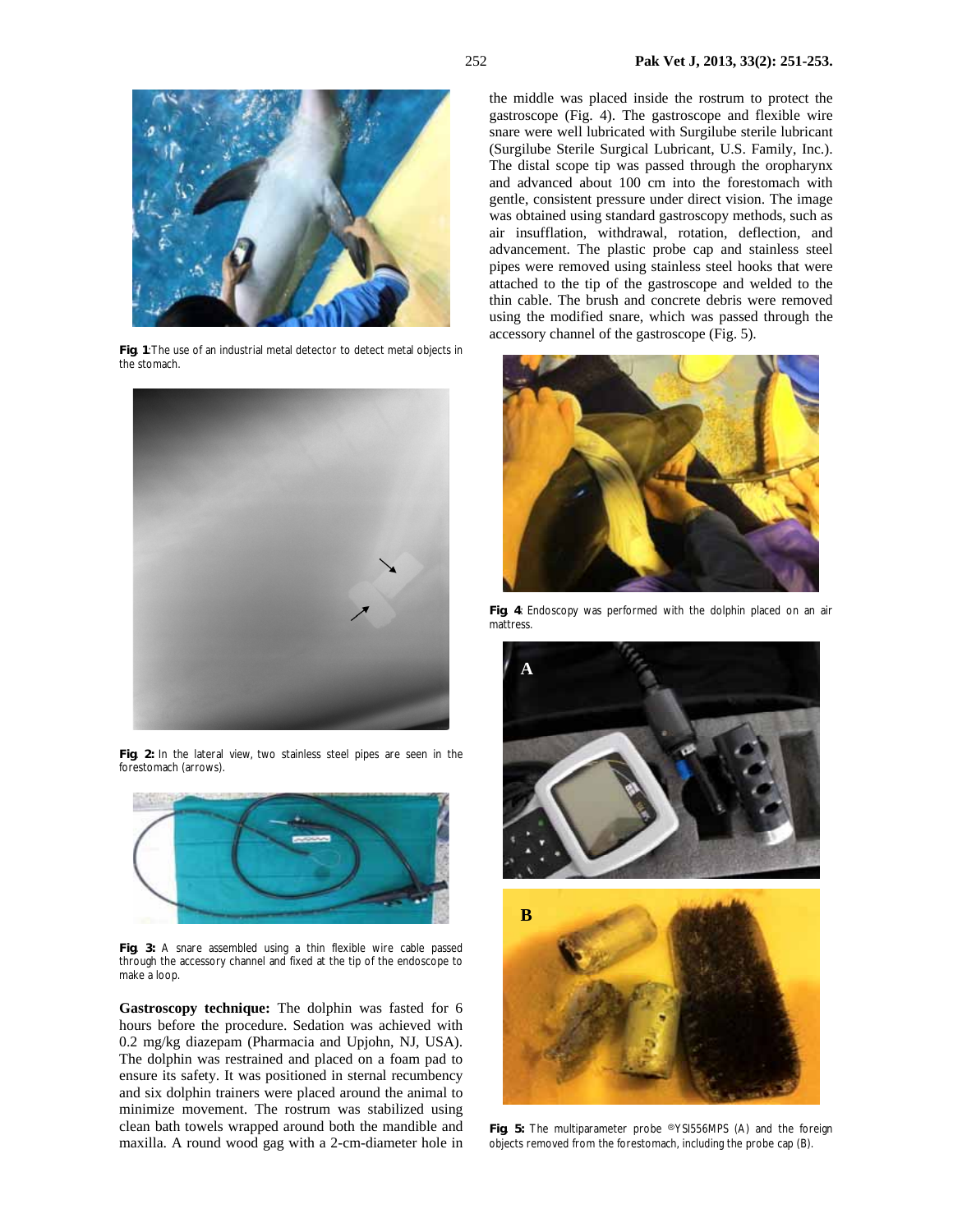

**Fig**. **1**: The use of an industrial metal detector to detect metal objects in the stomach.



**Fig**. **2:** In the lateral view, two stainless steel pipes are seen in the forestomach (arrows).



**Fig**. **3:** A snare assembled using a thin flexible wire cable passed through the accessory channel and fixed at the tip of the endoscope to make a loop.

**Gastroscopy technique:** The dolphin was fasted for 6 hours before the procedure. Sedation was achieved with 0.2 mg/kg diazepam (Pharmacia and Upjohn, NJ, USA). The dolphin was restrained and placed on a foam pad to ensure its safety. It was positioned in sternal recumbency and six dolphin trainers were placed around the animal to minimize movement. The rostrum was stabilized using clean bath towels wrapped around both the mandible and maxilla. A round wood gag with a 2-cm-diameter hole in

the middle was placed inside the rostrum to protect the gastroscope (Fig. 4). The gastroscope and flexible wire snare were well lubricated with Surgilube sterile lubricant (Surgilube Sterile Surgical Lubricant, U.S. Family, Inc.). The distal scope tip was passed through the oropharynx and advanced about 100 cm into the forestomach with gentle, consistent pressure under direct vision. The image was obtained using standard gastroscopy methods, such as air insufflation, withdrawal, rotation, deflection, and advancement. The plastic probe cap and stainless steel pipes were removed using stainless steel hooks that were attached to the tip of the gastroscope and welded to the thin cable. The brush and concrete debris were removed using the modified snare, which was passed through the accessory channel of the gastroscope (Fig. 5).



**Fig**. **4**: Endoscopy was performed with the dolphin placed on an air mattress.



**Fig**. **5:** The multiparameter probe ⓇYSI556MPS (A) and the foreign objects removed from the forestomach, including the probe cap (B).